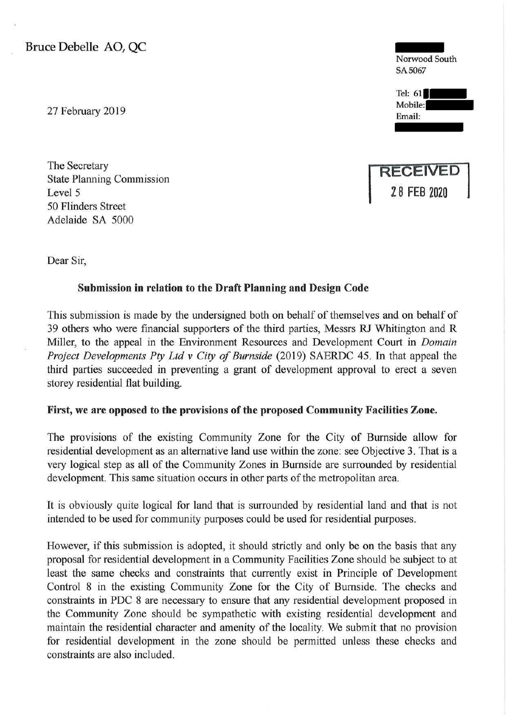Bruce Debelle AO, QC

27 February 2019

The Secretary State Planning Commission Level 5 50 Flinders Street Adelaide SA 5000





Email:

Dear Sir,

## Submission in relation to the Draft Planning and Design Code

This submission is made by the undersigned both on behalf of themselves and on behalf of 39 others who were financial supporters of the third parties, Messrs RJ Whitington and R Miller, to the appeal in the Environment Resources and Development Court in *Domain Project Developments Pty Ltd v City of Burnside* (2019) SAERDC 45. In that appeal the third parties succeeded in preventing a grant of development approval to erect a seven storey residential flat building.

## First, we are opposed to the provisions of the proposed Community Facilities Zone.

The provisions of the existing Community Zone for the City of Burnside allow for residential development as an alternative land use within the zone: see Objective 3. That is a very logical step as all of the Community Zones in Burnside are surrounded by residential development. This same situation occurs in other parts of the metropolitan area.

It is obviously quite logical for land that is surrounded by residential land and that is not intended to be used for community purposes could be used for residential purposes.

However, if this submission is adopted, it should strictly and only be on the basis that any proposal for residential development in a Community Facilities Zone should be subject to at least the same checks and constraints that currently exist in Principle of Development Control 8 in the existing Community Zone for the City of Burnside. The checks and constraints in PDC 8 are necessary to ensure that any residential development proposed in the Community Zone should be sympathetic with existing residential development and maintain the residential character and amenity of the locality. We submit that no provision for residential development in the zone should be permitted unless these checks and constraints are also included.